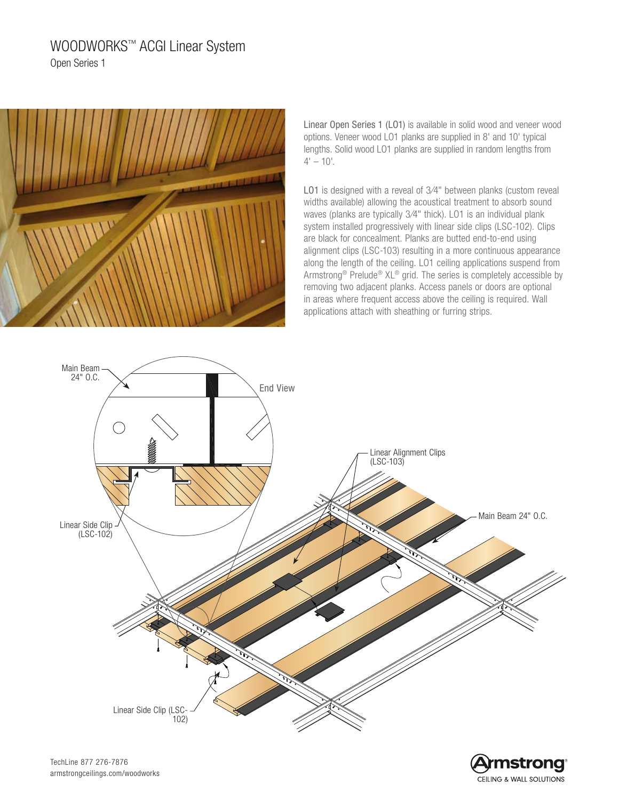# WOODWORKS™ ACGI Linear System Open Series 1



Linear Open Series 1 (LO1) is available in solid wood and veneer wood options. Veneer wood LO1 planks are supplied in 8' and 10' typical lengths. Solid wood LO1 planks are supplied in random lengths from  $4' - 10'$ .

LO1 is designed with a reveal of 3/4" between planks (custom reveal widths available) allowing the acoustical treatment to absorb sound waves (planks are typically 3/4" thick). LO1 is an individual plank system installed progressively with linear side clips (LSC-102). Clips are black for concealment. Planks are butted end-to-end using alignment clips (LSC-103) resulting in a more continuous appearance along the length of the ceiling. LO1 ceiling applications suspend from Armstrong® Prelude® XL® grid. The series is completely accessible by removing two adjacent planks. Access panels or doors are optional in areas where frequent access above the ceiling is required. Wall applications attach with sheathing or furring strips.